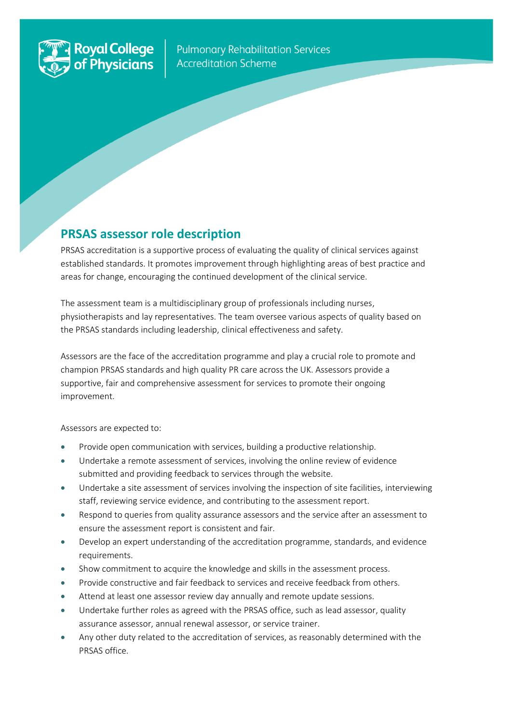

ļ

**Pulmonary Rehabilitation Services Accreditation Scheme** 

# **PRSAS assessor role description**

PRSAS accreditation is a supportive process of evaluating the quality of clinical services against established standards. It promotes improvement through highlighting areas of best practice and areas for change, encouraging the continued development of the clinical service.

The assessment team is a multidisciplinary group of professionals including nurses, physiotherapists and lay representatives. The team oversee various aspects of quality based on the PRSAS standards including leadership, clinical effectiveness and safety.

Assessors are the face of the accreditation programme and play a crucial role to promote and champion PRSAS standards and high quality PR care across the UK. Assessors provide a supportive, fair and comprehensive assessment for services to promote their ongoing improvement.

#### Assessors are expected to:

- Provide open communication with services, building a productive relationship.
- Undertake a remote assessment of services, involving the online review of evidence submitted and providing feedback to services through the website.
- Undertake a site assessment of services involving the inspection of site facilities, interviewing staff, reviewing service evidence, and contributing to the assessment report.
- Respond to queries from quality assurance assessors and the service after an assessment to ensure the assessment report is consistent and fair.
- Develop an expert understanding of the accreditation programme, standards, and evidence requirements.
- Show commitment to acquire the knowledge and skills in the assessment process.
- Provide constructive and fair feedback to services and receive feedback from others.
- Attend at least one assessor review day annually and remote update sessions.
- Undertake further roles as agreed with the PRSAS office, such as lead assessor, quality assurance assessor, annual renewal assessor, or service trainer.
- Any other duty related to the accreditation of services, as reasonably determined with the PRSAS office.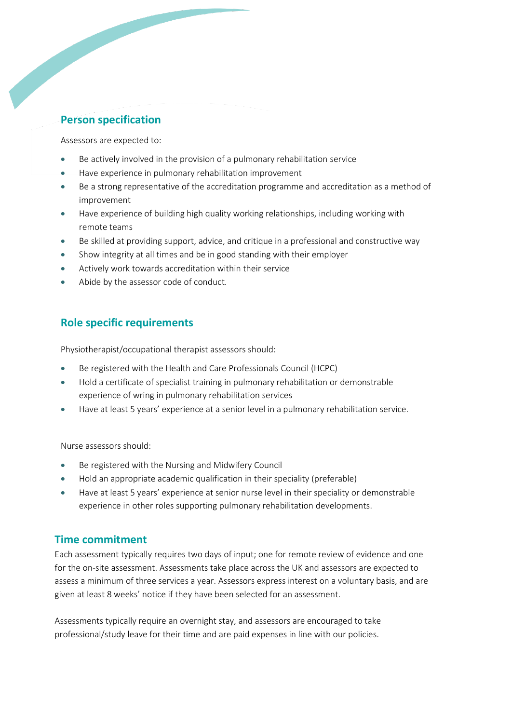## **Person specification**

Assessors are expected to:

- Be actively involved in the provision of a pulmonary rehabilitation service
- Have experience in pulmonary rehabilitation improvement
- Be a strong representative of the accreditation programme and accreditation as a method of improvement
- Have experience of building high quality working relationships, including working with remote teams
- Be skilled at providing support, advice, and critique in a professional and constructive way
- Show integrity at all times and be in good standing with their employer
- Actively work towards accreditation within their service
- Abide by the assessor code of conduct.

## **Role specific requirements**

Physiotherapist/occupational therapist assessors should:

- Be registered with the Health and Care Professionals Council (HCPC)
- Hold a certificate of specialist training in pulmonary rehabilitation or demonstrable experience of wring in pulmonary rehabilitation services
- Have at least 5 years' experience at a senior level in a pulmonary rehabilitation service.

Nurse assessors should:

- Be registered with the Nursing and Midwifery Council
- Hold an appropriate academic qualification in their speciality (preferable)
- Have at least 5 years' experience at senior nurse level in their speciality or demonstrable experience in other roles supporting pulmonary rehabilitation developments.

### **Time commitment**

Each assessment typically requires two days of input; one for remote review of evidence and one for the on-site assessment. Assessments take place across the UK and assessors are expected to assess a minimum of three services a year. Assessors express interest on a voluntary basis, and are given at least 8 weeks' notice if they have been selected for an assessment.

Assessments typically require an overnight stay, and assessors are encouraged to take professional/study leave for their time and are paid expenses in line with our policies.